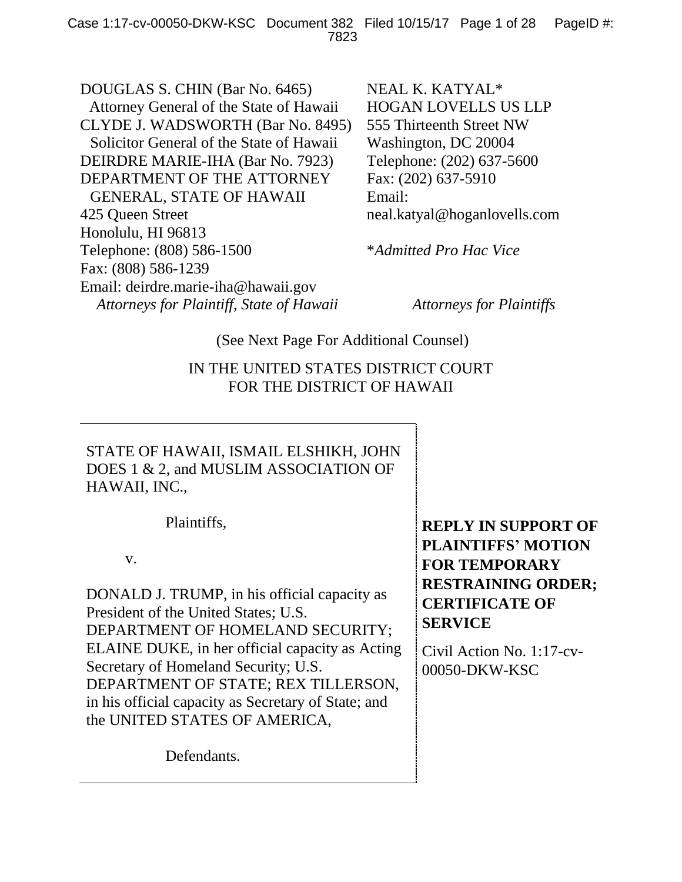DOUGLAS S. CHIN (Bar No. 6465) Attorney General of the State of Hawaii CLYDE J. WADSWORTH (Bar No. 8495) Solicitor General of the State of Hawaii DEIRDRE MARIE-IHA (Bar No. 7923) DEPARTMENT OF THE ATTORNEY GENERAL, STATE OF HAWAII 425 Queen Street Honolulu, HI 96813 Telephone: (808) 586-1500 Fax: (808) 586-1239 Email: deirdre.marie-iha@hawaii.gov *Attorneys for Plaintiff, State of Hawaii Attorneys for Plaintiffs*

NEAL K. KATYAL\* HOGAN LOVELLS US LLP 555 Thirteenth Street NW Washington, DC 20004 Telephone: (202) 637-5600 Fax: (202) 637-5910 Email: neal.katyal@hoganlovells.com

\**Admitted Pro Hac Vice*

(See Next Page For Additional Counsel)

IN THE UNITED STATES DISTRICT COURT FOR THE DISTRICT OF HAWAII

STATE OF HAWAII, ISMAIL ELSHIKH, JOHN DOES 1 & 2, and MUSLIM ASSOCIATION OF HAWAII, INC.,

Plaintiffs,

v.

DONALD J. TRUMP, in his official capacity as President of the United States; U.S. DEPARTMENT OF HOMELAND SECURITY; ELAINE DUKE, in her official capacity as Acting Secretary of Homeland Security; U.S. DEPARTMENT OF STATE; REX TILLERSON, in his official capacity as Secretary of State; and the UNITED STATES OF AMERICA,

Defendants.

**REPLY IN SUPPORT OF PLAINTIFFS' MOTION FOR TEMPORARY RESTRAINING ORDER; CERTIFICATE OF SERVICE**

Civil Action No. 1:17-cv-00050-DKW-KSC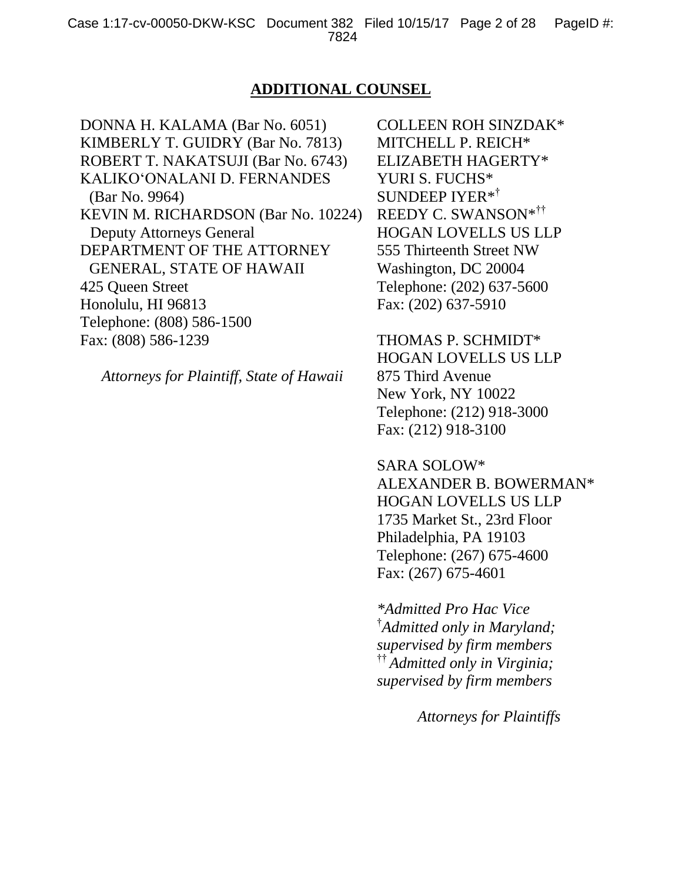#### **ADDITIONAL COUNSEL**

DONNA H. KALAMA (Bar No. 6051) KIMBERLY T. GUIDRY (Bar No. 7813) ROBERT T. NAKATSUJI (Bar No. 6743) KALIKO'ONALANI D. FERNANDES (Bar No. 9964) KEVIN M. RICHARDSON (Bar No. 10224) Deputy Attorneys General DEPARTMENT OF THE ATTORNEY GENERAL, STATE OF HAWAII 425 Queen Street Honolulu, HI 96813 Telephone: (808) 586-1500 Fax: (808) 586-1239

*Attorneys for Plaintiff, State of Hawaii*

COLLEEN ROH SINZDAK\* MITCHELL P. REICH\* ELIZABETH HAGERTY\* YURI S. FUCHS\* SUNDEEP IYER\* † REEDY C. SWANSON\* †† HOGAN LOVELLS US LLP 555 Thirteenth Street NW Washington, DC 20004 Telephone: (202) 637-5600 Fax: (202) 637-5910

THOMAS P. SCHMIDT\* HOGAN LOVELLS US LLP 875 Third Avenue New York, NY 10022

Telephone: (212) 918-3000 Fax: (212) 918-3100

SARA SOLOW\* ALEXANDER B. BOWERMAN\* HOGAN LOVELLS US LLP 1735 Market St., 23rd Floor Philadelphia, PA 19103 Telephone: (267) 675-4600 Fax: (267) 675-4601

*\*Admitted Pro Hac Vice* † *Admitted only in Maryland; supervised by firm members*  †† *Admitted only in Virginia; supervised by firm members*

*Attorneys for Plaintiffs*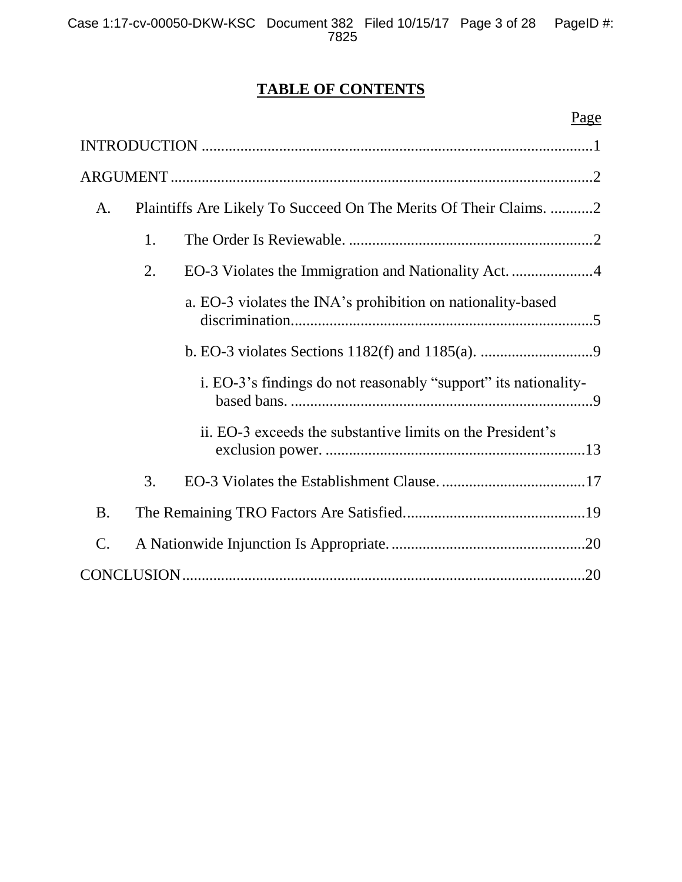## **TABLE OF CONTENTS**

| A.              | Plaintiffs Are Likely To Succeed On The Merits Of Their Claims. 2 |
|-----------------|-------------------------------------------------------------------|
| 1.              |                                                                   |
| 2.              |                                                                   |
|                 | a. EO-3 violates the INA's prohibition on nationality-based       |
|                 |                                                                   |
|                 | i. EO-3's findings do not reasonably "support" its nationality-   |
|                 | ii. EO-3 exceeds the substantive limits on the President's        |
| 3.              |                                                                   |
| <b>B.</b>       |                                                                   |
| $\mathcal{C}$ . |                                                                   |
|                 |                                                                   |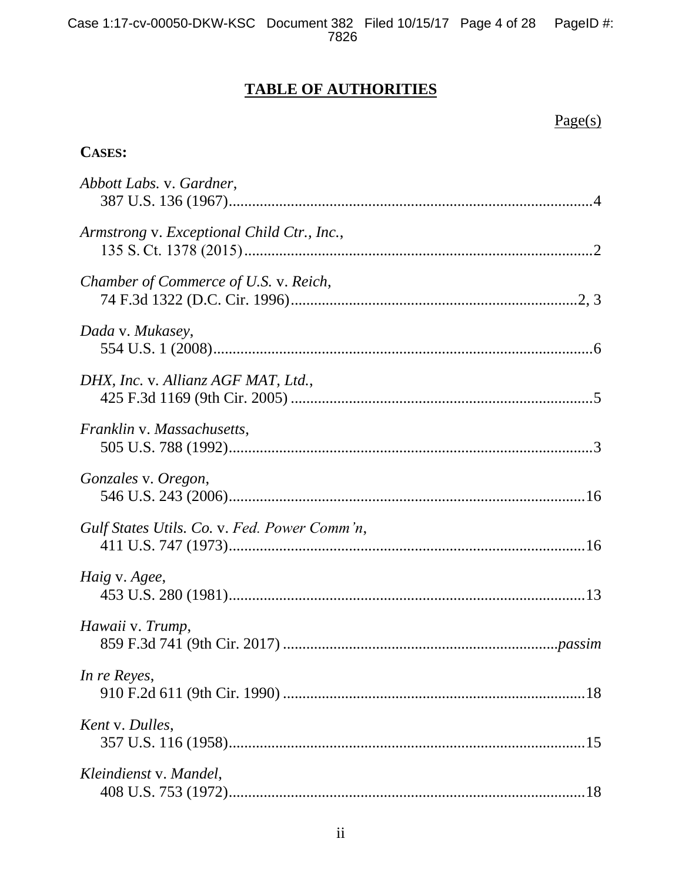## **TABLE OF AUTHORITIES**

## Page(s)

## **CASES:**

| Abbott Labs. v. Gardner,                     |
|----------------------------------------------|
| Armstrong v. Exceptional Child Ctr., Inc.,   |
| Chamber of Commerce of U.S. v. Reich,        |
| Dada v. Mukasey,                             |
| DHX, Inc. v. Allianz AGF MAT, Ltd.,          |
| Franklin v. Massachusetts,                   |
| Gonzales v. Oregon,                          |
| Gulf States Utils. Co. v. Fed. Power Comm'n, |
| Haig v. Agee,                                |
| Hawaii v. Trump,                             |
| In re Reyes,                                 |
| Kent v. Dulles,                              |
| Kleindienst v. Mandel,                       |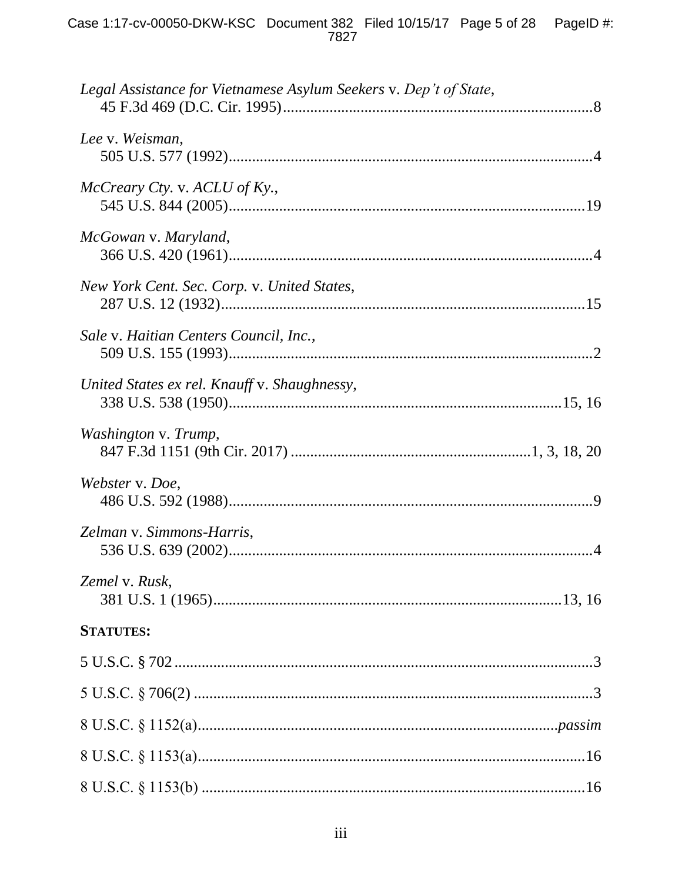| Legal Assistance for Vietnamese Asylum Seekers v. Dep't of State, |  |
|-------------------------------------------------------------------|--|
| Lee v. Weisman,                                                   |  |
| McCreary Cty. v. ACLU of Ky.,                                     |  |
| McGowan v. Maryland,                                              |  |
| New York Cent. Sec. Corp. v. United States,                       |  |
| Sale v. Haitian Centers Council, Inc.,                            |  |
| United States ex rel. Knauff v. Shaughnessy,                      |  |
| Washington v. Trump,                                              |  |
| Webster v. Doe,                                                   |  |
| Zelman v. Simmons-Harris,                                         |  |
| Zemel v. Rusk,                                                    |  |
| <b>STATUTES:</b>                                                  |  |
|                                                                   |  |
|                                                                   |  |
|                                                                   |  |
|                                                                   |  |
|                                                                   |  |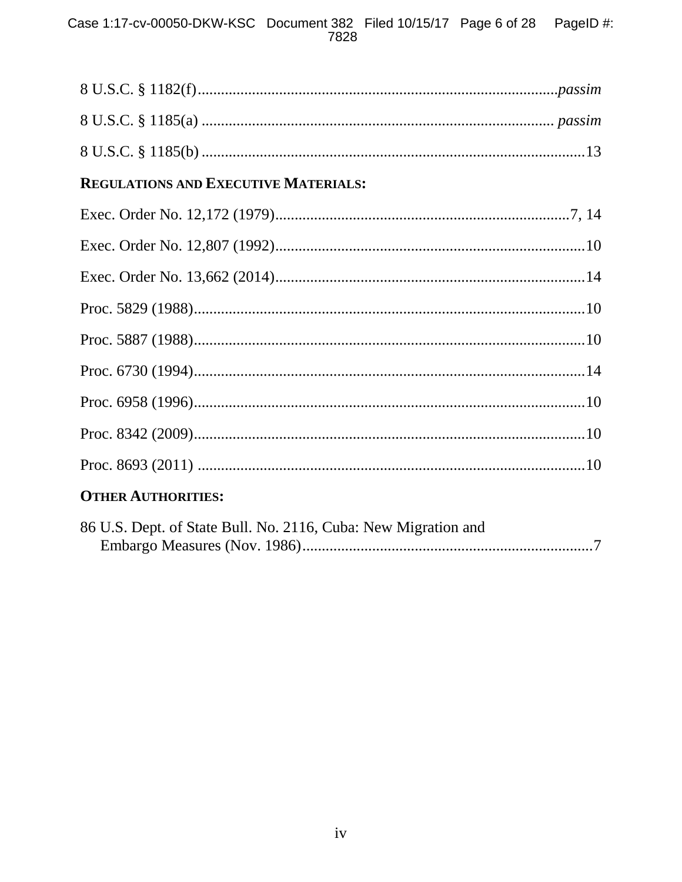# Case 1:17-cv-00050-DKW-KSC Document 382 Filed 10/15/17 Page 6 of 28 PageID #:<br>7828

| REGULATIONS AND EXECUTIVE MATERIALS: |  |
|--------------------------------------|--|
|                                      |  |
|                                      |  |
|                                      |  |
|                                      |  |
|                                      |  |
|                                      |  |
|                                      |  |
|                                      |  |
|                                      |  |
| <b>OTHER AUTHORITIES:</b>            |  |

| 86 U.S. Dept. of State Bull. No. 2116, Cuba: New Migration and |  |
|----------------------------------------------------------------|--|
|                                                                |  |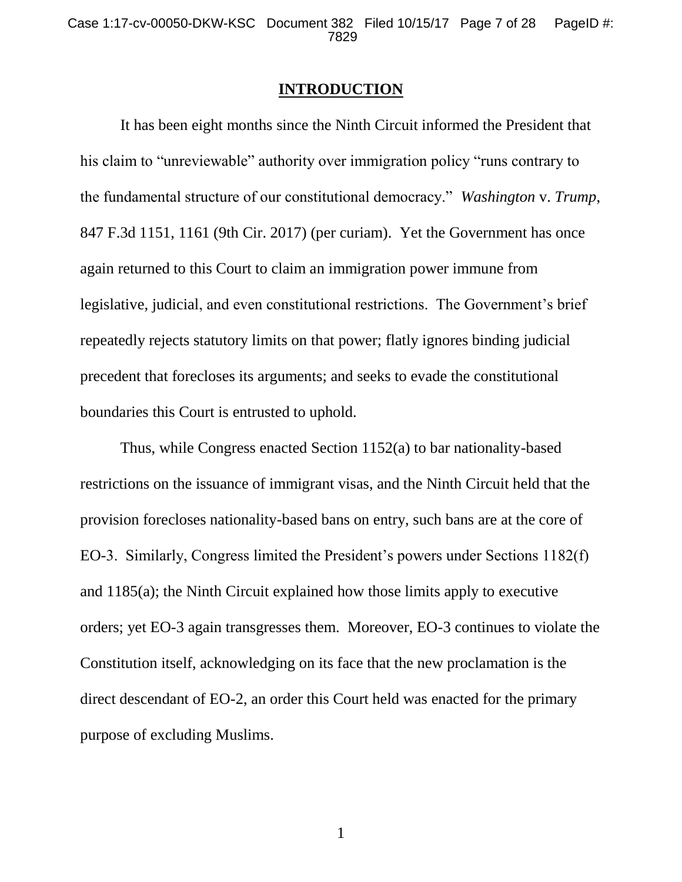#### **INTRODUCTION**

It has been eight months since the Ninth Circuit informed the President that his claim to "unreviewable" authority over immigration policy "runs contrary to the fundamental structure of our constitutional democracy." *Washington* v. *Trump*, 847 F.3d 1151, 1161 (9th Cir. 2017) (per curiam). Yet the Government has once again returned to this Court to claim an immigration power immune from legislative, judicial, and even constitutional restrictions. The Government's brief repeatedly rejects statutory limits on that power; flatly ignores binding judicial precedent that forecloses its arguments; and seeks to evade the constitutional boundaries this Court is entrusted to uphold.

Thus, while Congress enacted Section 1152(a) to bar nationality-based restrictions on the issuance of immigrant visas, and the Ninth Circuit held that the provision forecloses nationality-based bans on entry, such bans are at the core of EO-3. Similarly, Congress limited the President's powers under Sections 1182(f) and 1185(a); the Ninth Circuit explained how those limits apply to executive orders; yet EO-3 again transgresses them. Moreover, EO-3 continues to violate the Constitution itself, acknowledging on its face that the new proclamation is the direct descendant of EO-2, an order this Court held was enacted for the primary purpose of excluding Muslims.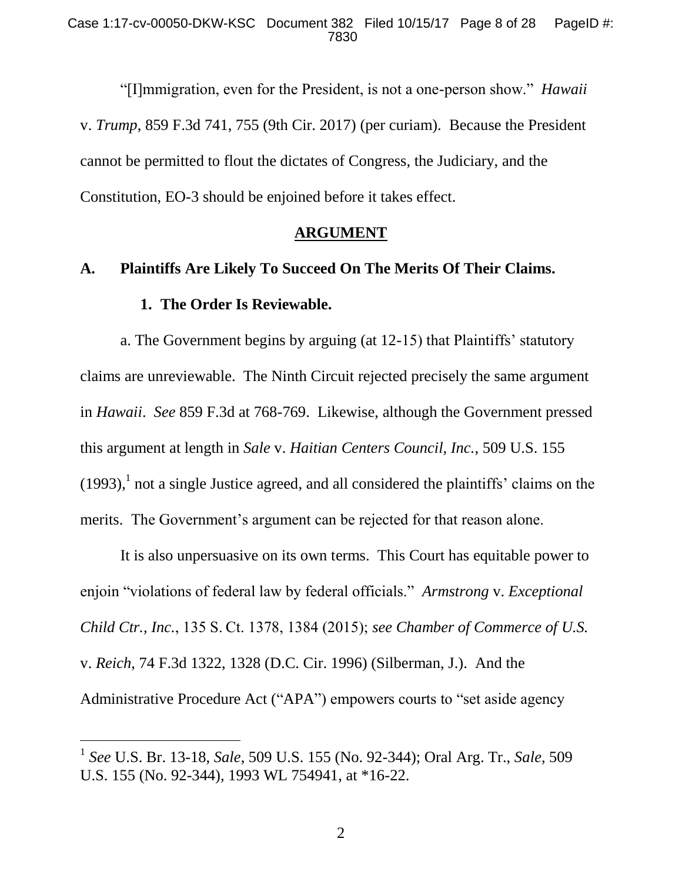"[I]mmigration, even for the President, is not a one-person show." *Hawaii*  v. *Trump*, 859 F.3d 741, 755 (9th Cir. 2017) (per curiam). Because the President cannot be permitted to flout the dictates of Congress, the Judiciary, and the Constitution, EO-3 should be enjoined before it takes effect.

#### <span id="page-7-0"></span>**ARGUMENT**

## **A. Plaintiffs Are Likely To Succeed On The Merits Of Their Claims. 1. The Order Is Reviewable.**

a. The Government begins by arguing (at 12-15) that Plaintiffs' statutory claims are unreviewable. The Ninth Circuit rejected precisely the same argument in *Hawaii*. *See* 859 F.3d at 768-769. Likewise, although the Government pressed this argument at length in *Sale* v. *Haitian Centers Council, Inc.*, 509 U.S. 155  $(1993)$ ,<sup>1</sup> not a single Justice agreed, and all considered the plaintiffs' claims on the merits. The Government's argument can be rejected for that reason alone.

It is also unpersuasive on its own terms. This Court has equitable power to enjoin "violations of federal law by federal officials." *Armstrong* v. *Exceptional Child Ctr., Inc.*, 135 S. Ct. 1378, 1384 (2015); *see Chamber of Commerce of U.S.*  v. *Reich*, 74 F.3d 1322, 1328 (D.C. Cir. 1996) (Silberman, J.). And the Administrative Procedure Act ("APA") empowers courts to "set aside agency

<sup>1</sup> *See* U.S. Br. 13-18, *Sale*, 509 U.S. 155 (No. 92-344); Oral Arg. Tr., *Sale*, 509 U.S. 155 (No. 92-344), 1993 WL 754941, at \*16-22.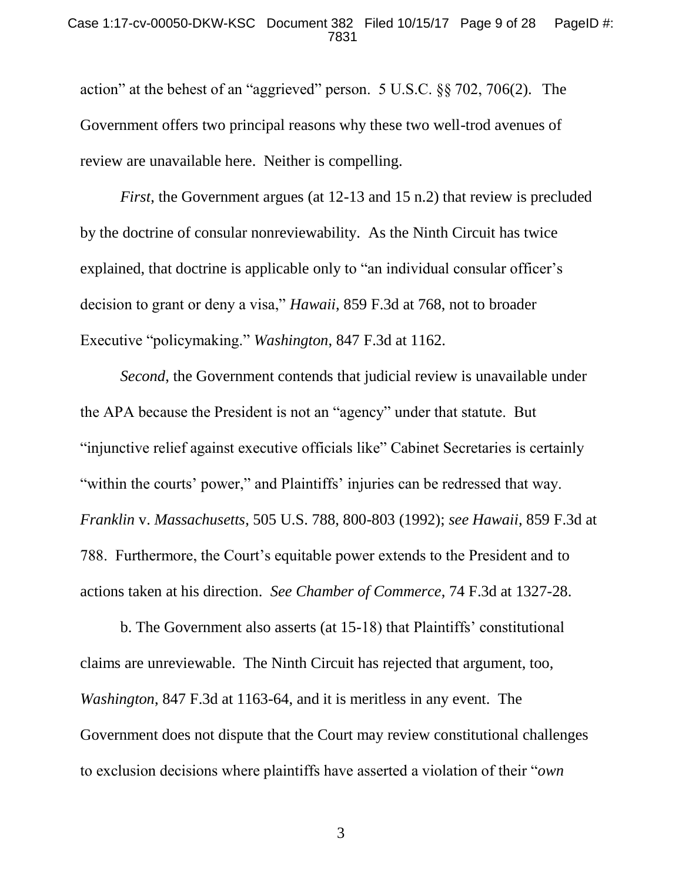#### Case 1:17-cv-00050-DKW-KSC Document 382 Filed 10/15/17 Page 9 of 28 PageID #: 7831

action" at the behest of an "aggrieved" person. 5 U.S.C. §§ 702, 706(2). The Government offers two principal reasons why these two well-trod avenues of review are unavailable here. Neither is compelling.

*First*, the Government argues (at 12-13 and 15 n.2) that review is precluded by the doctrine of consular nonreviewability. As the Ninth Circuit has twice explained, that doctrine is applicable only to "an individual consular officer's decision to grant or deny a visa," *Hawaii*, 859 F.3d at 768, not to broader Executive "policymaking." *Washington*, 847 F.3d at 1162.

*Second*, the Government contends that judicial review is unavailable under the APA because the President is not an "agency" under that statute. But "injunctive relief against executive officials like" Cabinet Secretaries is certainly "within the courts' power," and Plaintiffs' injuries can be redressed that way. *Franklin* v. *Massachusetts*, 505 U.S. 788, 800-803 (1992); *see Hawaii*, 859 F.3d at 788. Furthermore, the Court's equitable power extends to the President and to actions taken at his direction. *See Chamber of Commerce*, 74 F.3d at 1327-28.

b. The Government also asserts (at 15-18) that Plaintiffs' constitutional claims are unreviewable. The Ninth Circuit has rejected that argument, too, *Washington*, 847 F.3d at 1163-64, and it is meritless in any event. The Government does not dispute that the Court may review constitutional challenges to exclusion decisions where plaintiffs have asserted a violation of their "*own*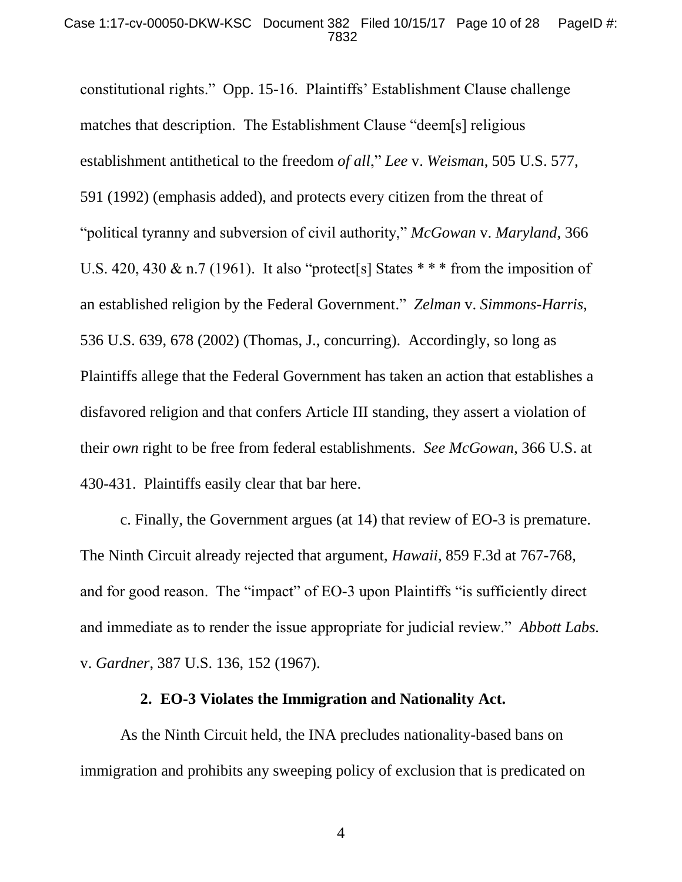constitutional rights." Opp. 15-16. Plaintiffs' Establishment Clause challenge matches that description. The Establishment Clause "deem[s] religious establishment antithetical to the freedom *of all*," *Lee* v. *Weisman*, 505 U.S. 577, 591 (1992) (emphasis added), and protects every citizen from the threat of "political tyranny and subversion of civil authority," *McGowan* v. *Maryland*, 366 U.S. 420, 430  $\&$  n.7 (1961). It also "protect[s] States \*\*\* from the imposition of an established religion by the Federal Government." *Zelman* v. *Simmons-Harris*, 536 U.S. 639, 678 (2002) (Thomas, J., concurring). Accordingly, so long as Plaintiffs allege that the Federal Government has taken an action that establishes a disfavored religion and that confers Article III standing, they assert a violation of their *own* right to be free from federal establishments. *See McGowan*, 366 U.S. at 430-431. Plaintiffs easily clear that bar here.

c. Finally, the Government argues (at 14) that review of EO-3 is premature. The Ninth Circuit already rejected that argument, *Hawaii*, 859 F.3d at 767-768, and for good reason. The "impact" of EO-3 upon Plaintiffs "is sufficiently direct and immediate as to render the issue appropriate for judicial review." *Abbott Labs.*  v. *Gardner*, 387 U.S. 136, 152 (1967).

#### **2. EO-3 Violates the Immigration and Nationality Act.**

As the Ninth Circuit held, the INA precludes nationality-based bans on immigration and prohibits any sweeping policy of exclusion that is predicated on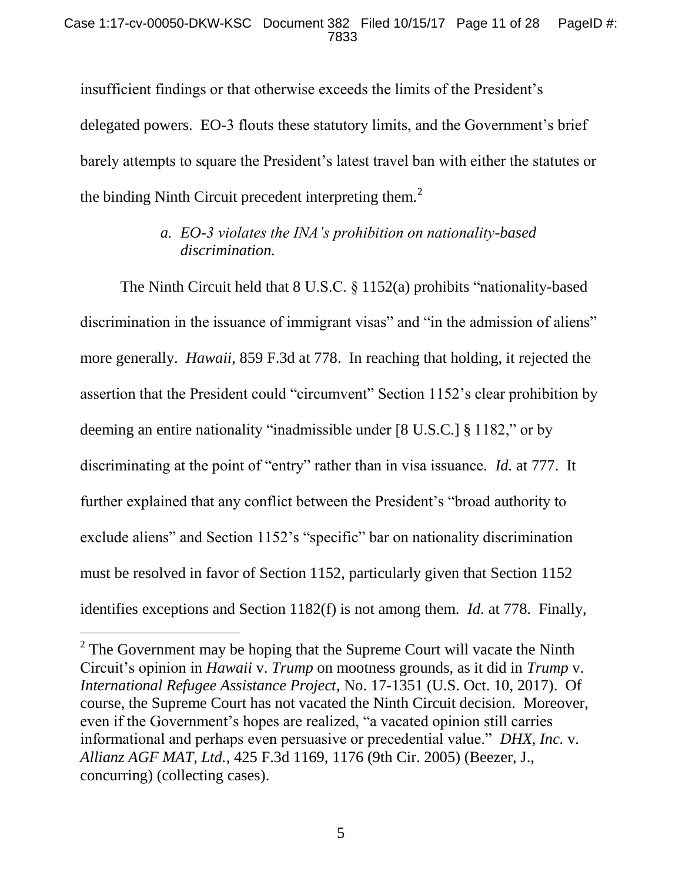insufficient findings or that otherwise exceeds the limits of the President's delegated powers. EO-3 flouts these statutory limits, and the Government's brief barely attempts to square the President's latest travel ban with either the statutes or the binding Ninth Circuit precedent interpreting them. $2$ 

## *a. EO-3 violates the INA's prohibition on nationality-based discrimination.*

The Ninth Circuit held that 8 U.S.C. § 1152(a) prohibits "nationality-based discrimination in the issuance of immigrant visas" and "in the admission of aliens" more generally. *Hawaii*, 859 F.3d at 778. In reaching that holding, it rejected the assertion that the President could "circumvent" Section 1152's clear prohibition by deeming an entire nationality "inadmissible under [8 U.S.C.] § 1182," or by discriminating at the point of "entry" rather than in visa issuance. *Id.* at 777. It further explained that any conflict between the President's "broad authority to exclude aliens" and Section 1152's "specific" bar on nationality discrimination must be resolved in favor of Section 1152, particularly given that Section 1152 identifies exceptions and Section 1182(f) is not among them. *Id.* at 778. Finally,

 $2^2$  The Government may be hoping that the Supreme Court will vacate the Ninth Circuit's opinion in *Hawaii* v. *Trump* on mootness grounds, as it did in *Trump* v. *International Refugee Assistance Project*, No. 17-1351 (U.S. Oct. 10, 2017). Of course, the Supreme Court has not vacated the Ninth Circuit decision. Moreover, even if the Government's hopes are realized, "a vacated opinion still carries informational and perhaps even persuasive or precedential value." *DHX, Inc.* v*. Allianz AGF MAT, Ltd.*, 425 F.3d 1169, 1176 (9th Cir. 2005) (Beezer, J., concurring) (collecting cases).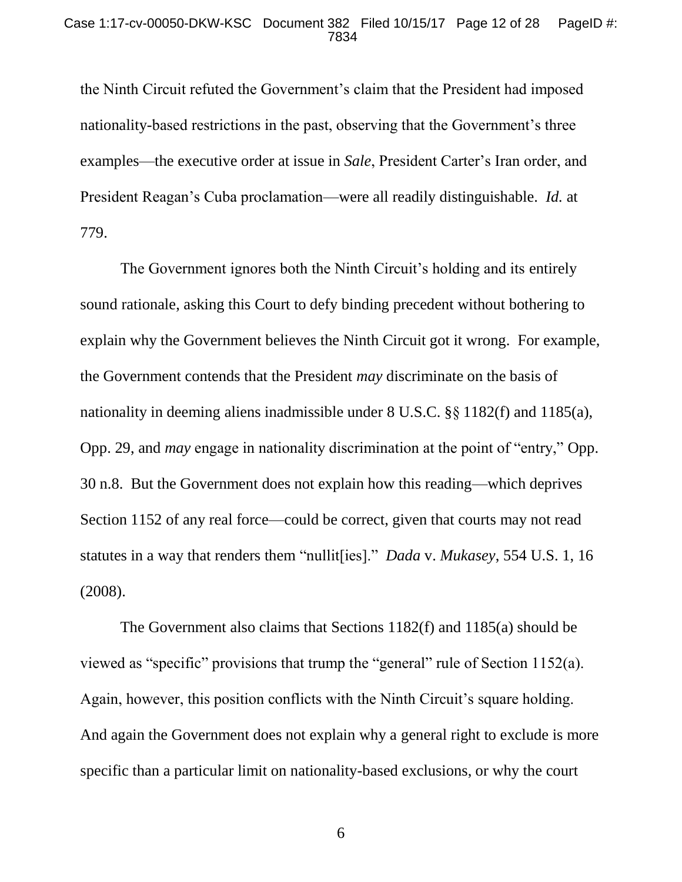the Ninth Circuit refuted the Government's claim that the President had imposed nationality-based restrictions in the past, observing that the Government's three examples—the executive order at issue in *Sale*, President Carter's Iran order, and President Reagan's Cuba proclamation—were all readily distinguishable. *Id.* at 779.

The Government ignores both the Ninth Circuit's holding and its entirely sound rationale, asking this Court to defy binding precedent without bothering to explain why the Government believes the Ninth Circuit got it wrong. For example, the Government contends that the President *may* discriminate on the basis of nationality in deeming aliens inadmissible under 8 U.S.C. §§ 1182(f) and 1185(a), Opp. 29, and *may* engage in nationality discrimination at the point of "entry," Opp. 30 n.8. But the Government does not explain how this reading—which deprives Section 1152 of any real force—could be correct, given that courts may not read statutes in a way that renders them "nullit[ies]." *Dada* v. *Mukasey*, 554 U.S. 1, 16 (2008).

The Government also claims that Sections 1182(f) and 1185(a) should be viewed as "specific" provisions that trump the "general" rule of Section 1152(a). Again, however, this position conflicts with the Ninth Circuit's square holding. And again the Government does not explain why a general right to exclude is more specific than a particular limit on nationality-based exclusions, or why the court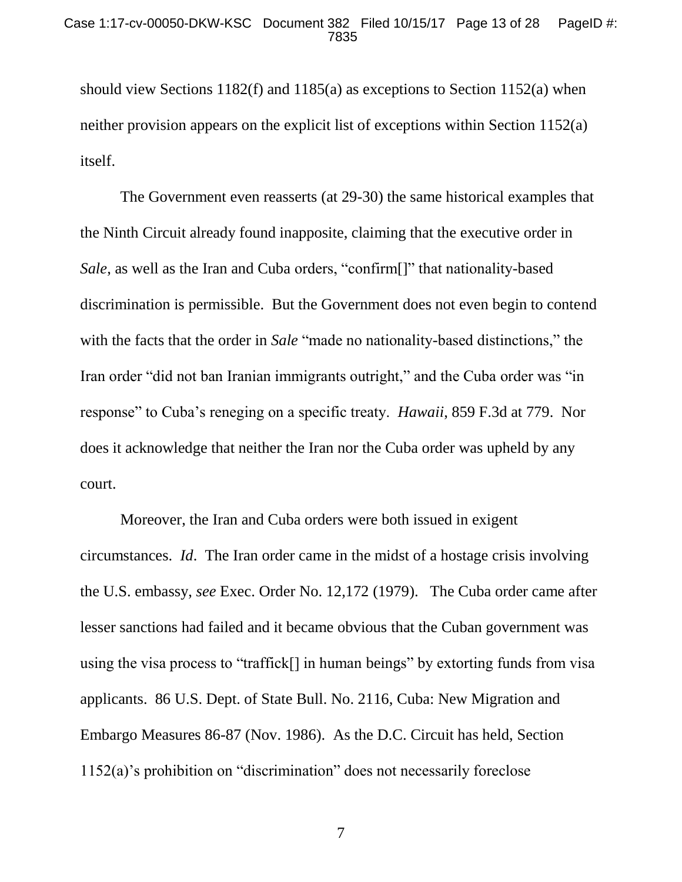should view Sections 1182(f) and 1185(a) as exceptions to Section 1152(a) when neither provision appears on the explicit list of exceptions within Section 1152(a) itself.

The Government even reasserts (at 29-30) the same historical examples that the Ninth Circuit already found inapposite, claiming that the executive order in *Sale*, as well as the Iran and Cuba orders, "confirm[]" that nationality-based discrimination is permissible. But the Government does not even begin to contend with the facts that the order in *Sale* "made no nationality-based distinctions," the Iran order "did not ban Iranian immigrants outright," and the Cuba order was "in response" to Cuba's reneging on a specific treaty. *Hawaii*, 859 F.3d at 779. Nor does it acknowledge that neither the Iran nor the Cuba order was upheld by any court.

Moreover, the Iran and Cuba orders were both issued in exigent circumstances. *Id*. The Iran order came in the midst of a hostage crisis involving the U.S. embassy, *see* Exec. Order No. 12,172 (1979). The Cuba order came after lesser sanctions had failed and it became obvious that the Cuban government was using the visa process to "traffick[] in human beings" by extorting funds from visa applicants. 86 U.S. Dept. of State Bull. No. 2116, Cuba: New Migration and Embargo Measures 86-87 (Nov. 1986). As the D.C. Circuit has held, Section 1152(a)'s prohibition on "discrimination" does not necessarily foreclose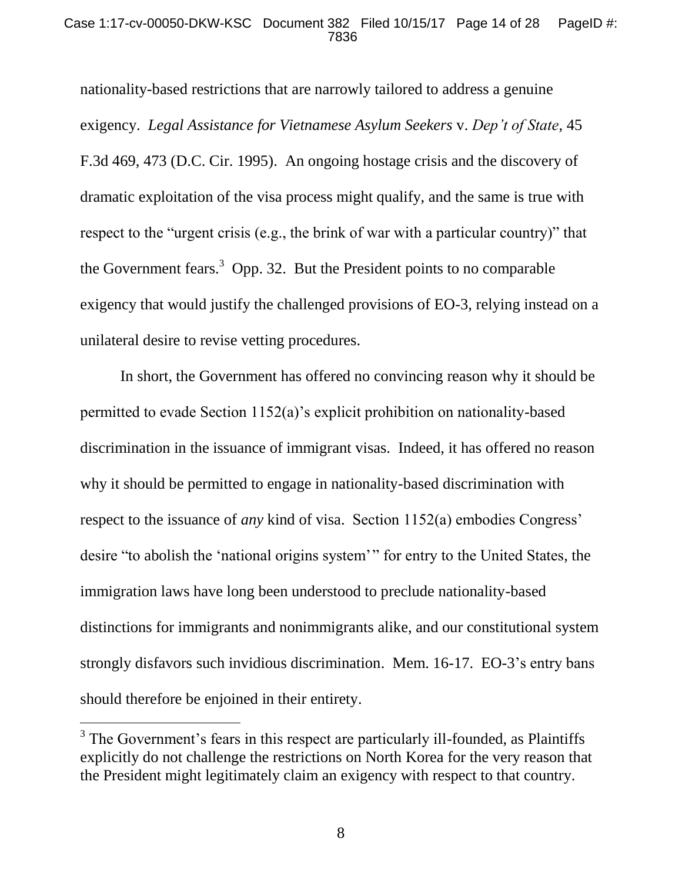#### Case 1:17-cv-00050-DKW-KSC Document 382 Filed 10/15/17 Page 14 of 28 PageID #: 7836

nationality-based restrictions that are narrowly tailored to address a genuine exigency. *Legal Assistance for Vietnamese Asylum Seekers* v. *Dep't of State*, 45 F.3d 469, 473 (D.C. Cir. 1995). An ongoing hostage crisis and the discovery of dramatic exploitation of the visa process might qualify, and the same is true with respect to the "urgent crisis (e.g., the brink of war with a particular country)" that the Government fears.<sup>3</sup> Opp. 32. But the President points to no comparable exigency that would justify the challenged provisions of EO-3, relying instead on a unilateral desire to revise vetting procedures.

In short, the Government has offered no convincing reason why it should be permitted to evade Section 1152(a)'s explicit prohibition on nationality-based discrimination in the issuance of immigrant visas. Indeed, it has offered no reason why it should be permitted to engage in nationality-based discrimination with respect to the issuance of *any* kind of visa. Section 1152(a) embodies Congress' desire "to abolish the 'national origins system'" for entry to the United States, the immigration laws have long been understood to preclude nationality-based distinctions for immigrants and nonimmigrants alike, and our constitutional system strongly disfavors such invidious discrimination. Mem. 16-17. EO-3's entry bans should therefore be enjoined in their entirety.

<sup>&</sup>lt;sup>3</sup> The Government's fears in this respect are particularly ill-founded, as Plaintiffs explicitly do not challenge the restrictions on North Korea for the very reason that the President might legitimately claim an exigency with respect to that country.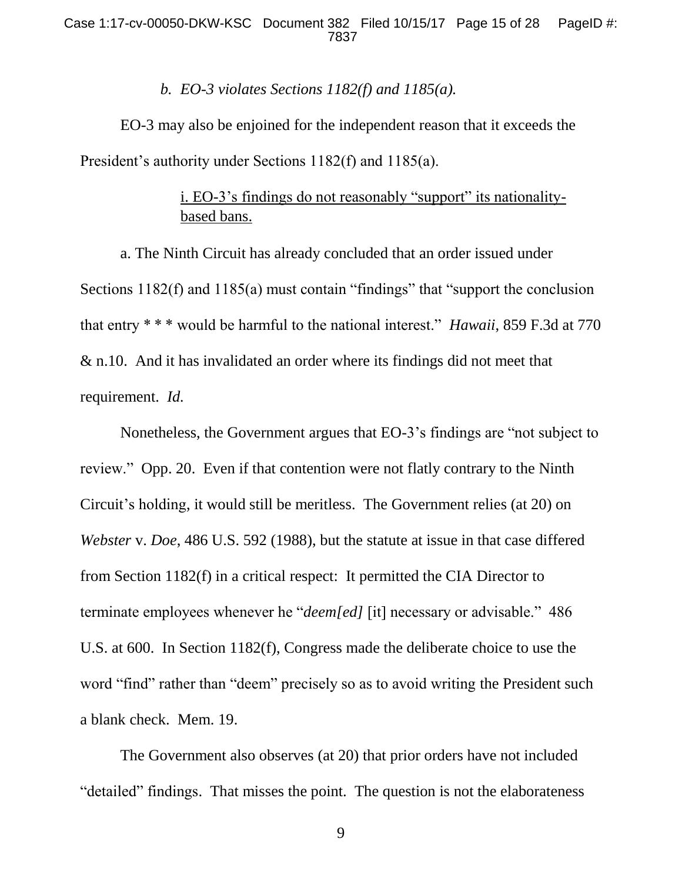#### *b. EO-3 violates Sections 1182(f) and 1185(a).*

EO-3 may also be enjoined for the independent reason that it exceeds the President's authority under Sections 1182(f) and 1185(a).

## i. EO-3's findings do not reasonably "support" its nationalitybased bans.

a. The Ninth Circuit has already concluded that an order issued under Sections 1182(f) and 1185(a) must contain "findings" that "support the conclusion that entry \* \* \* would be harmful to the national interest." *Hawaii*, 859 F.3d at 770 & n.10. And it has invalidated an order where its findings did not meet that requirement. *Id.* 

Nonetheless, the Government argues that EO-3's findings are "not subject to review." Opp. 20. Even if that contention were not flatly contrary to the Ninth Circuit's holding, it would still be meritless. The Government relies (at 20) on *Webster* v. *Doe*, 486 U.S. 592 (1988), but the statute at issue in that case differed from Section 1182(f) in a critical respect: It permitted the CIA Director to terminate employees whenever he "*deem[ed]* [it] necessary or advisable." 486 U.S. at 600. In Section 1182(f), Congress made the deliberate choice to use the word "find" rather than "deem" precisely so as to avoid writing the President such a blank check. Mem. 19.

The Government also observes (at 20) that prior orders have not included "detailed" findings. That misses the point. The question is not the elaborateness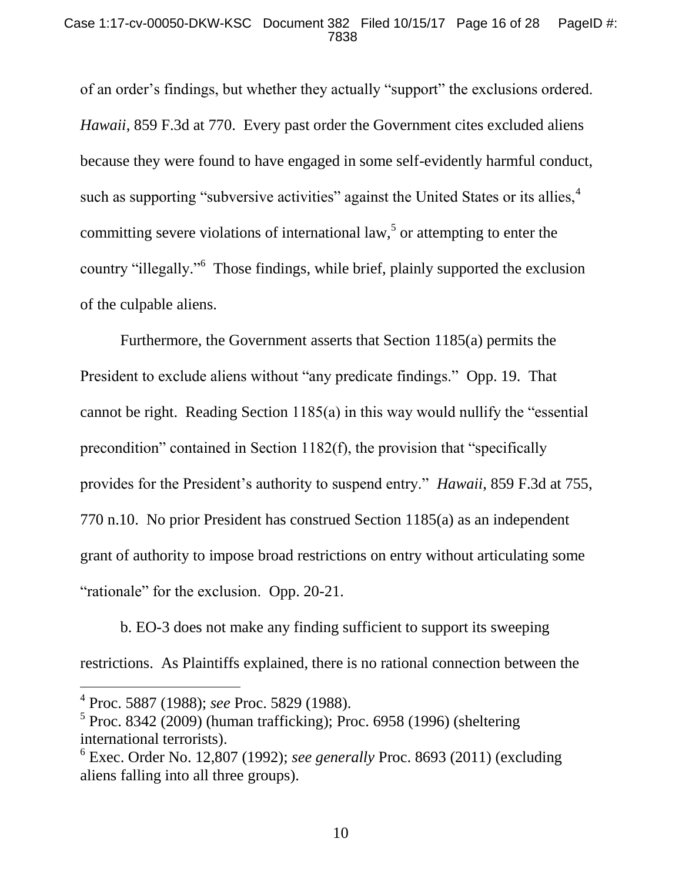#### Case 1:17-cv-00050-DKW-KSC Document 382 Filed 10/15/17 Page 16 of 28 PageID #: 7838

of an order's findings, but whether they actually "support" the exclusions ordered. *Hawaii*, 859 F.3d at 770. Every past order the Government cites excluded aliens because they were found to have engaged in some self-evidently harmful conduct, such as supporting "subversive activities" against the United States or its allies,<sup>4</sup> committing severe violations of international law,<sup>5</sup> or attempting to enter the country "illegally."<sup>6</sup> Those findings, while brief, plainly supported the exclusion of the culpable aliens.

Furthermore, the Government asserts that Section 1185(a) permits the President to exclude aliens without "any predicate findings." Opp. 19. That cannot be right. Reading Section 1185(a) in this way would nullify the "essential precondition" contained in Section 1182(f), the provision that "specifically provides for the President's authority to suspend entry." *Hawaii*, 859 F.3d at 755, 770 n.10. No prior President has construed Section 1185(a) as an independent grant of authority to impose broad restrictions on entry without articulating some "rationale" for the exclusion. Opp. 20-21.

b. EO-3 does not make any finding sufficient to support its sweeping restrictions. As Plaintiffs explained, there is no rational connection between the

l

<sup>4</sup> Proc. 5887 (1988); *see* Proc. 5829 (1988).

 $<sup>5</sup>$  Proc. 8342 (2009) (human trafficking); Proc. 6958 (1996) (sheltering</sup> international terrorists).

<sup>6</sup> Exec. Order No. 12,807 (1992); *see generally* Proc. 8693 (2011) (excluding aliens falling into all three groups).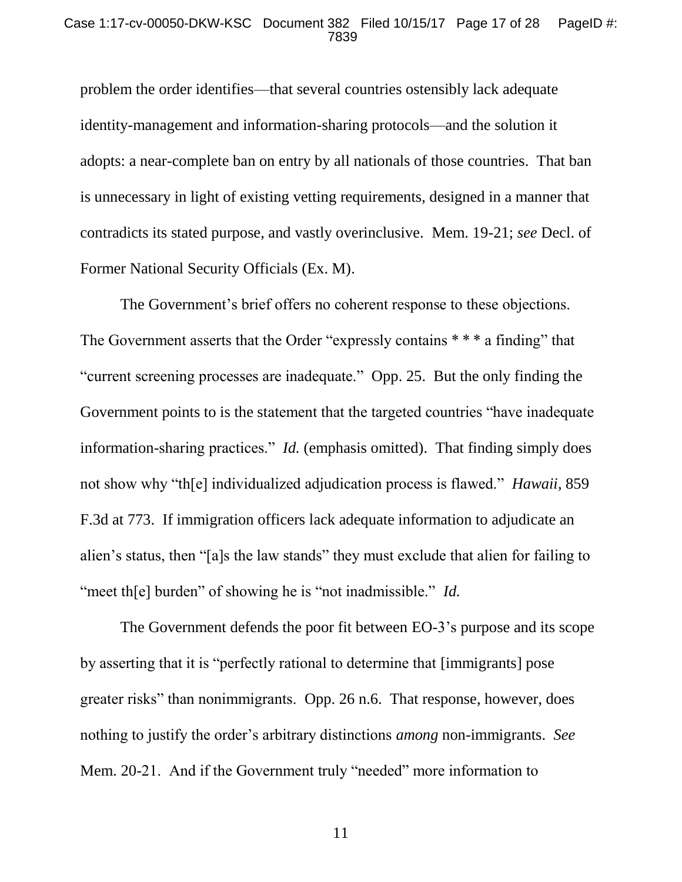#### Case 1:17-cv-00050-DKW-KSC Document 382 Filed 10/15/17 Page 17 of 28 PageID #: 7839

problem the order identifies—that several countries ostensibly lack adequate identity-management and information-sharing protocols—and the solution it adopts: a near-complete ban on entry by all nationals of those countries. That ban is unnecessary in light of existing vetting requirements, designed in a manner that contradicts its stated purpose, and vastly overinclusive. Mem. 19-21; *see* Decl. of Former National Security Officials (Ex. M).

The Government's brief offers no coherent response to these objections. The Government asserts that the Order "expressly contains \*\*\* a finding" that "current screening processes are inadequate." Opp. 25. But the only finding the Government points to is the statement that the targeted countries "have inadequate information-sharing practices." *Id.* (emphasis omitted).That finding simply does not show why "th[e] individualized adjudication process is flawed." *Hawaii*, 859 F.3d at 773. If immigration officers lack adequate information to adjudicate an alien's status, then "[a]s the law stands" they must exclude that alien for failing to "meet th[e] burden" of showing he is "not inadmissible." *Id.* 

The Government defends the poor fit between EO-3's purpose and its scope by asserting that it is "perfectly rational to determine that [immigrants] pose greater risks" than nonimmigrants. Opp. 26 n.6. That response, however, does nothing to justify the order's arbitrary distinctions *among* non-immigrants. *See*  Mem. 20-21. And if the Government truly "needed" more information to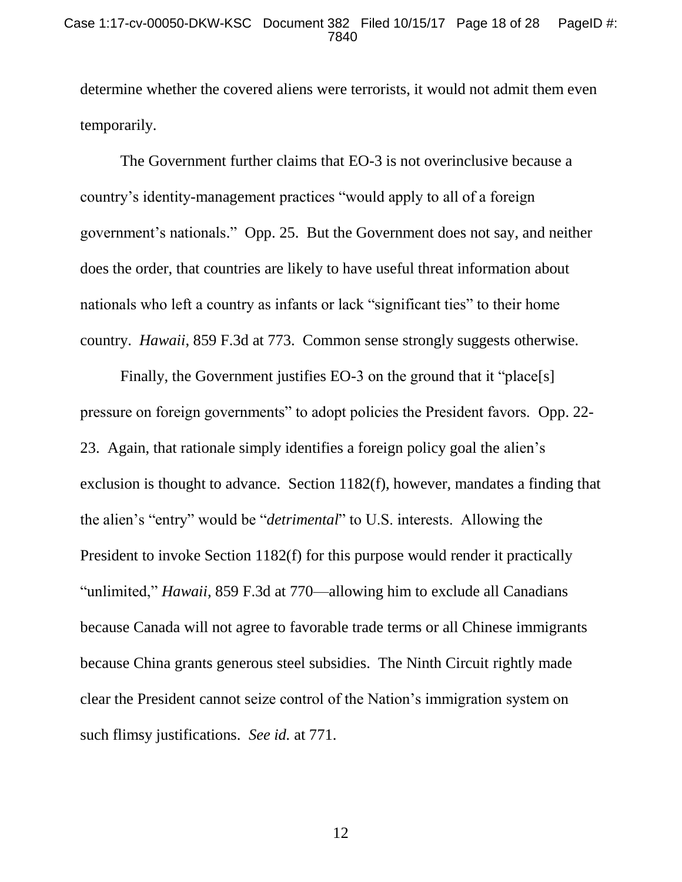determine whether the covered aliens were terrorists, it would not admit them even temporarily.

The Government further claims that EO-3 is not overinclusive because a country's identity-management practices "would apply to all of a foreign government's nationals." Opp. 25. But the Government does not say, and neither does the order, that countries are likely to have useful threat information about nationals who left a country as infants or lack "significant ties" to their home country. *Hawaii*, 859 F.3d at 773. Common sense strongly suggests otherwise.

Finally, the Government justifies EO-3 on the ground that it "place[s] pressure on foreign governments" to adopt policies the President favors. Opp. 22- 23. Again, that rationale simply identifies a foreign policy goal the alien's exclusion is thought to advance. Section 1182(f), however, mandates a finding that the alien's "entry" would be "*detrimental*" to U.S. interests. Allowing the President to invoke Section 1182(f) for this purpose would render it practically "unlimited," *Hawaii*, 859 F.3d at 770—allowing him to exclude all Canadians because Canada will not agree to favorable trade terms or all Chinese immigrants because China grants generous steel subsidies. The Ninth Circuit rightly made clear the President cannot seize control of the Nation's immigration system on such flimsy justifications. *See id.* at 771.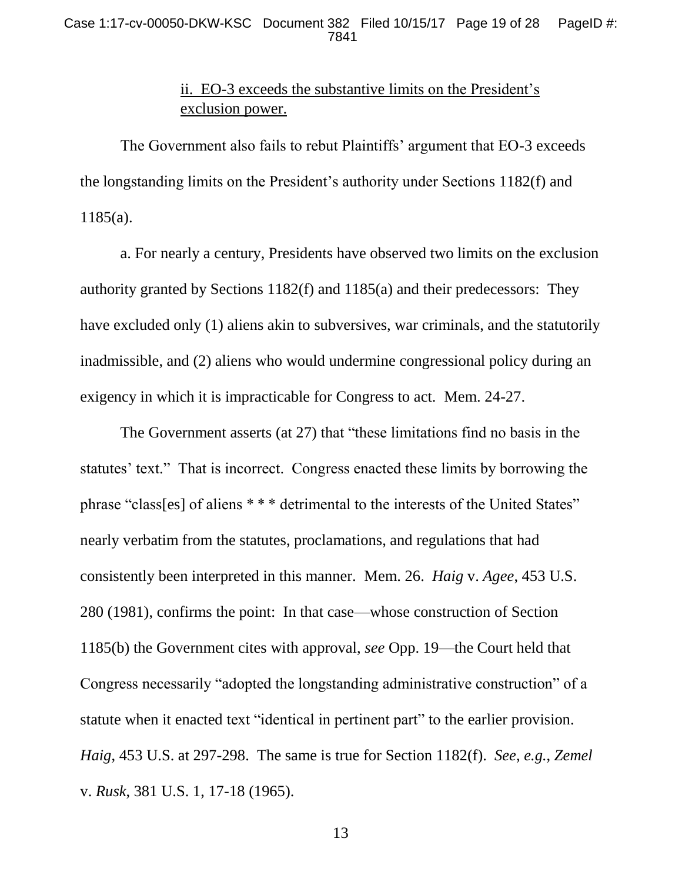#### Case 1:17-cv-00050-DKW-KSC Document 382 Filed 10/15/17 Page 19 of 28 PageID #: 7841

## ii. EO-3 exceeds the substantive limits on the President's exclusion power.

The Government also fails to rebut Plaintiffs' argument that EO-3 exceeds the longstanding limits on the President's authority under Sections 1182(f) and 1185(a).

a. For nearly a century, Presidents have observed two limits on the exclusion authority granted by Sections 1182(f) and 1185(a) and their predecessors: They have excluded only (1) aliens akin to subversives, war criminals, and the statutorily inadmissible, and (2) aliens who would undermine congressional policy during an exigency in which it is impracticable for Congress to act. Mem. 24-27.

The Government asserts (at 27) that "these limitations find no basis in the statutes' text." That is incorrect. Congress enacted these limits by borrowing the phrase "class[es] of aliens \* \* \* detrimental to the interests of the United States" nearly verbatim from the statutes, proclamations, and regulations that had consistently been interpreted in this manner. Mem. 26. *Haig* v. *Agee*, 453 U.S. 280 (1981), confirms the point: In that case—whose construction of Section 1185(b) the Government cites with approval, *see* Opp. 19—the Court held that Congress necessarily "adopted the longstanding administrative construction" of a statute when it enacted text "identical in pertinent part" to the earlier provision. *Haig*, 453 U.S. at 297-298. The same is true for Section 1182(f). *See*, *e.g.*, *Zemel*  v. *Rusk*, 381 U.S. 1, 17-18 (1965).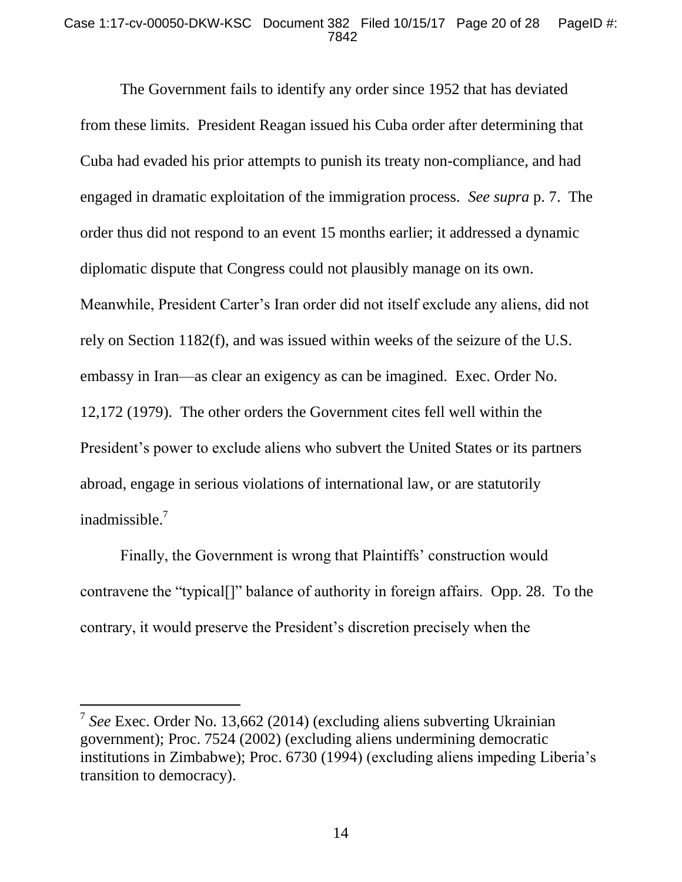#### Case 1:17-cv-00050-DKW-KSC Document 382 Filed 10/15/17 Page 20 of 28 PageID #: 7842

The Government fails to identify any order since 1952 that has deviated from these limits. President Reagan issued his Cuba order after determining that Cuba had evaded his prior attempts to punish its treaty non-compliance, and had engaged in dramatic exploitation of the immigration process. *See supra* p. 7. The order thus did not respond to an event 15 months earlier; it addressed a dynamic diplomatic dispute that Congress could not plausibly manage on its own. Meanwhile, President Carter's Iran order did not itself exclude any aliens, did not rely on Section 1182(f), and was issued within weeks of the seizure of the U.S. embassy in Iran—as clear an exigency as can be imagined. Exec. Order No. 12,172 (1979). The other orders the Government cites fell well within the President's power to exclude aliens who subvert the United States or its partners abroad, engage in serious violations of international law, or are statutorily inadmissible.<sup>7</sup>

Finally, the Government is wrong that Plaintiffs' construction would contravene the "typical[]" balance of authority in foreign affairs. Opp. 28. To the contrary, it would preserve the President's discretion precisely when the

<sup>7</sup> *See* Exec. Order No. 13,662 (2014) (excluding aliens subverting Ukrainian government); Proc. 7524 (2002) (excluding aliens undermining democratic institutions in Zimbabwe); Proc. 6730 (1994) (excluding aliens impeding Liberia's transition to democracy).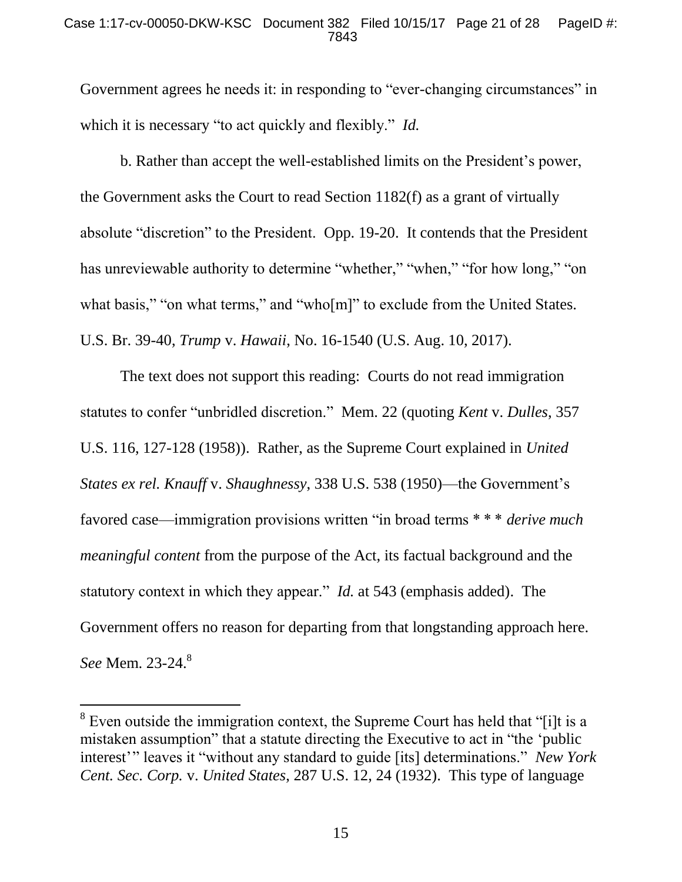#### Case 1:17-cv-00050-DKW-KSC Document 382 Filed 10/15/17 Page 21 of 28 PageID #: 7843

Government agrees he needs it: in responding to "ever-changing circumstances" in which it is necessary "to act quickly and flexibly." *Id.*

b. Rather than accept the well-established limits on the President's power, the Government asks the Court to read Section 1182(f) as a grant of virtually absolute "discretion" to the President. Opp. 19-20. It contends that the President has unreviewable authority to determine "whether," "when," "for how long," "on what basis," "on what terms," and "who[m]" to exclude from the United States. U.S. Br. 39-40, *Trump* v. *Hawaii*, No. 16-1540 (U.S. Aug. 10, 2017).

The text does not support this reading: Courts do not read immigration statutes to confer "unbridled discretion." Mem. 22 (quoting *Kent* v. *Dulles*, 357 U.S. 116, 127-128 (1958)). Rather, as the Supreme Court explained in *United States ex rel. Knauff* v. *Shaughnessy*, 338 U.S. 538 (1950)—the Government's favored case—immigration provisions written "in broad terms \* \* \* *derive much meaningful content* from the purpose of the Act, its factual background and the statutory context in which they appear." *Id.* at 543 (emphasis added). The Government offers no reason for departing from that longstanding approach here. *See* Mem. 23-24.<sup>8</sup>

 $8$  Even outside the immigration context, the Supreme Court has held that "[i]t is a mistaken assumption" that a statute directing the Executive to act in "the 'public interest'" leaves it "without any standard to guide [its] determinations." *New York Cent. Sec. Corp.* v. *United States*, 287 U.S. 12, 24 (1932). This type of language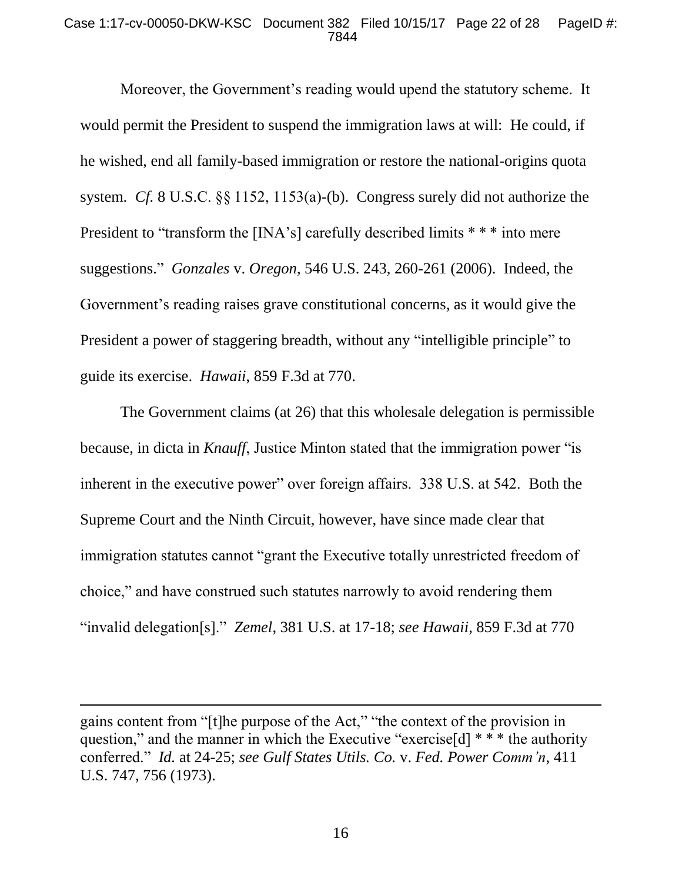#### Case 1:17-cv-00050-DKW-KSC Document 382 Filed 10/15/17 Page 22 of 28 PageID #: 7844

Moreover, the Government's reading would upend the statutory scheme. It would permit the President to suspend the immigration laws at will: He could, if he wished, end all family-based immigration or restore the national-origins quota system. *Cf.* 8 U.S.C. §§ 1152, 1153(a)-(b). Congress surely did not authorize the President to "transform the [INA's] carefully described limits \* \* \* into mere suggestions." *Gonzales* v. *Oregon*, 546 U.S. 243, 260-261 (2006). Indeed, the Government's reading raises grave constitutional concerns, as it would give the President a power of staggering breadth, without any "intelligible principle" to guide its exercise. *Hawaii*, 859 F.3d at 770.

The Government claims (at 26) that this wholesale delegation is permissible because, in dicta in *Knauff*, Justice Minton stated that the immigration power "is inherent in the executive power" over foreign affairs. 338 U.S. at 542. Both the Supreme Court and the Ninth Circuit, however, have since made clear that immigration statutes cannot "grant the Executive totally unrestricted freedom of choice," and have construed such statutes narrowly to avoid rendering them "invalid delegation[s]." *Zemel*, 381 U.S. at 17-18; *see Hawaii*, 859 F.3d at 770

gains content from "[t]he purpose of the Act," "the context of the provision in question," and the manner in which the Executive "exercise<sup>[d]</sup>  $**$  the authority conferred." *Id.* at 24-25; *see Gulf States Utils. Co.* v. *Fed. Power Comm'n*, 411 U.S. 747, 756 (1973).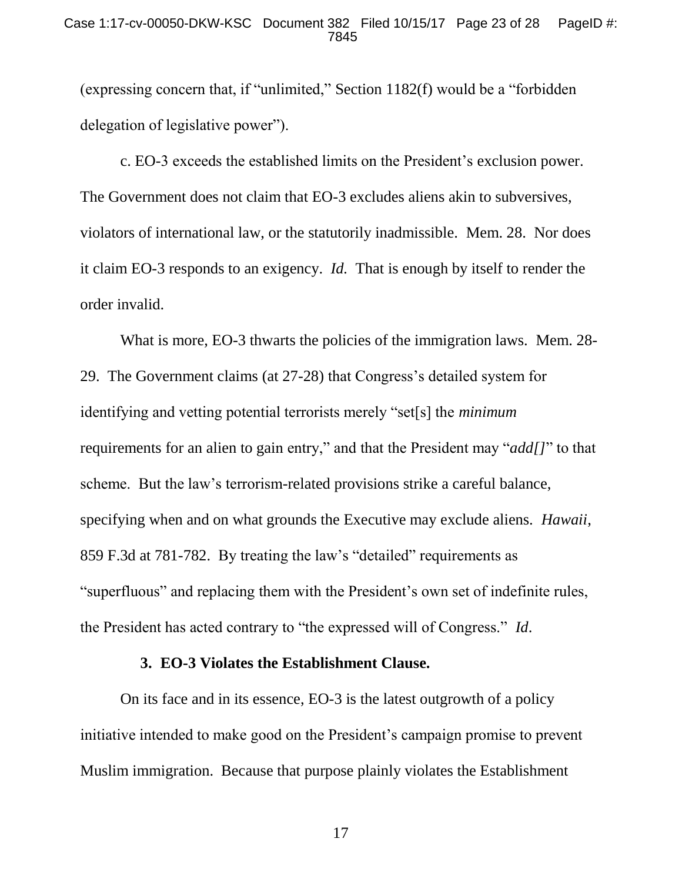(expressing concern that, if "unlimited," Section 1182(f) would be a "forbidden delegation of legislative power").

c. EO-3 exceeds the established limits on the President's exclusion power. The Government does not claim that EO-3 excludes aliens akin to subversives, violators of international law, or the statutorily inadmissible. Mem. 28. Nor does it claim EO-3 responds to an exigency. *Id.* That is enough by itself to render the order invalid.

What is more, EO-3 thwarts the policies of the immigration laws. Mem. 28- 29. The Government claims (at 27-28) that Congress's detailed system for identifying and vetting potential terrorists merely "set[s] the *minimum*  requirements for an alien to gain entry," and that the President may "*add[]*" to that scheme. But the law's terrorism-related provisions strike a careful balance, specifying when and on what grounds the Executive may exclude aliens. *Hawaii*, 859 F.3d at 781-782. By treating the law's "detailed" requirements as "superfluous" and replacing them with the President's own set of indefinite rules, the President has acted contrary to "the expressed will of Congress." *Id*.

#### **3. EO-3 Violates the Establishment Clause.**

On its face and in its essence, EO-3 is the latest outgrowth of a policy initiative intended to make good on the President's campaign promise to prevent Muslim immigration. Because that purpose plainly violates the Establishment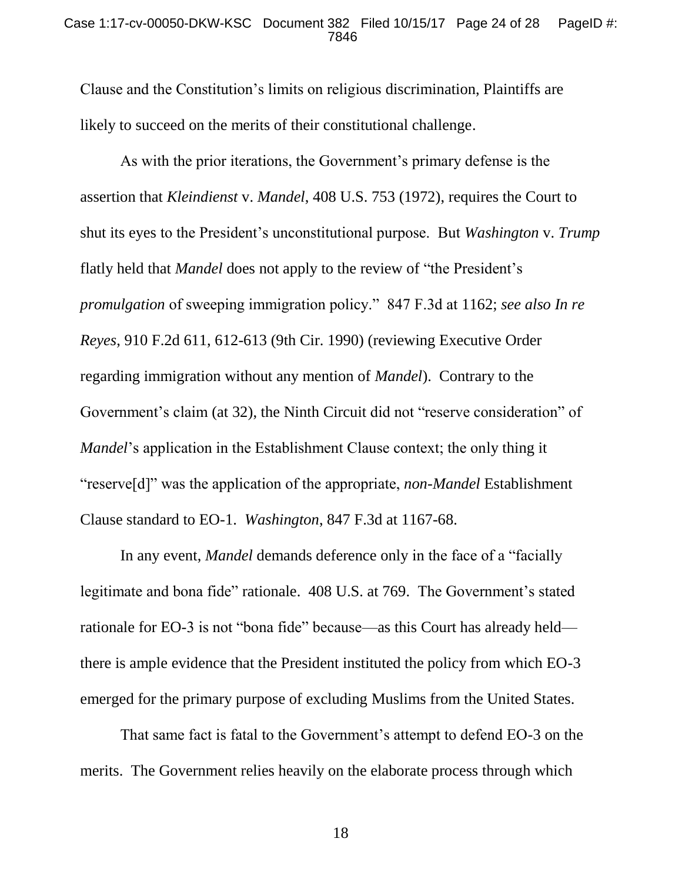#### Case 1:17-cv-00050-DKW-KSC Document 382 Filed 10/15/17 Page 24 of 28 PageID #: 7846

Clause and the Constitution's limits on religious discrimination, Plaintiffs are likely to succeed on the merits of their constitutional challenge.

As with the prior iterations, the Government's primary defense is the assertion that *Kleindienst* v. *Mandel*, 408 U.S. 753 (1972), requires the Court to shut its eyes to the President's unconstitutional purpose. But *Washington* v. *Trump* flatly held that *Mandel* does not apply to the review of "the President's *promulgation* of sweeping immigration policy." 847 F.3d at 1162; *see also In re Reyes*, 910 F.2d 611, 612-613 (9th Cir. 1990) (reviewing Executive Order regarding immigration without any mention of *Mandel*). Contrary to the Government's claim (at 32), the Ninth Circuit did not "reserve consideration" of *Mandel*'s application in the Establishment Clause context; the only thing it "reserve[d]" was the application of the appropriate, *non*-*Mandel* Establishment Clause standard to EO-1. *Washington*, 847 F.3d at 1167-68.

In any event, *Mandel* demands deference only in the face of a "facially legitimate and bona fide" rationale. 408 U.S. at 769. The Government's stated rationale for EO-3 is not "bona fide" because—as this Court has already held there is ample evidence that the President instituted the policy from which EO-3 emerged for the primary purpose of excluding Muslims from the United States.

That same fact is fatal to the Government's attempt to defend EO-3 on the merits. The Government relies heavily on the elaborate process through which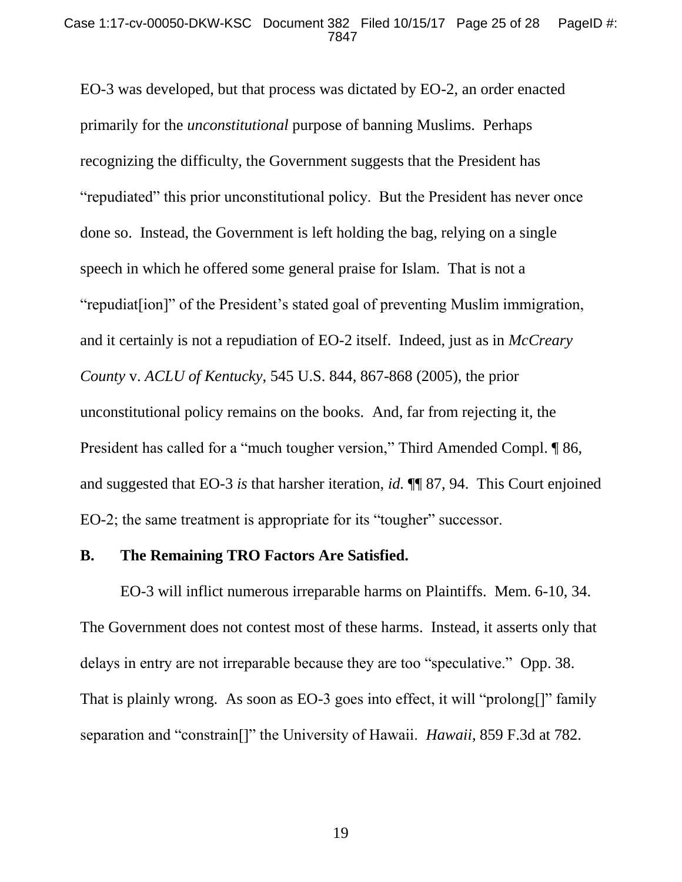EO-3 was developed, but that process was dictated by EO-2, an order enacted primarily for the *unconstitutional* purpose of banning Muslims. Perhaps recognizing the difficulty, the Government suggests that the President has "repudiated" this prior unconstitutional policy. But the President has never once done so. Instead, the Government is left holding the bag, relying on a single speech in which he offered some general praise for Islam. That is not a "repudiat[ion]" of the President's stated goal of preventing Muslim immigration, and it certainly is not a repudiation of EO-2 itself. Indeed, just as in *McCreary County* v. *ACLU of Kentucky*, 545 U.S. 844, 867-868 (2005), the prior unconstitutional policy remains on the books. And, far from rejecting it, the President has called for a "much tougher version," Third Amended Compl. ¶ 86, and suggested that EO-3 *is* that harsher iteration, *id.* ¶¶ 87, 94. This Court enjoined EO-2; the same treatment is appropriate for its "tougher" successor.

#### **B. The Remaining TRO Factors Are Satisfied.**

EO-3 will inflict numerous irreparable harms on Plaintiffs. Mem. 6-10, 34. The Government does not contest most of these harms. Instead, it asserts only that delays in entry are not irreparable because they are too "speculative." Opp. 38. That is plainly wrong. As soon as EO-3 goes into effect, it will "prolong[]" family separation and "constrain[]" the University of Hawaii. *Hawaii*, 859 F.3d at 782.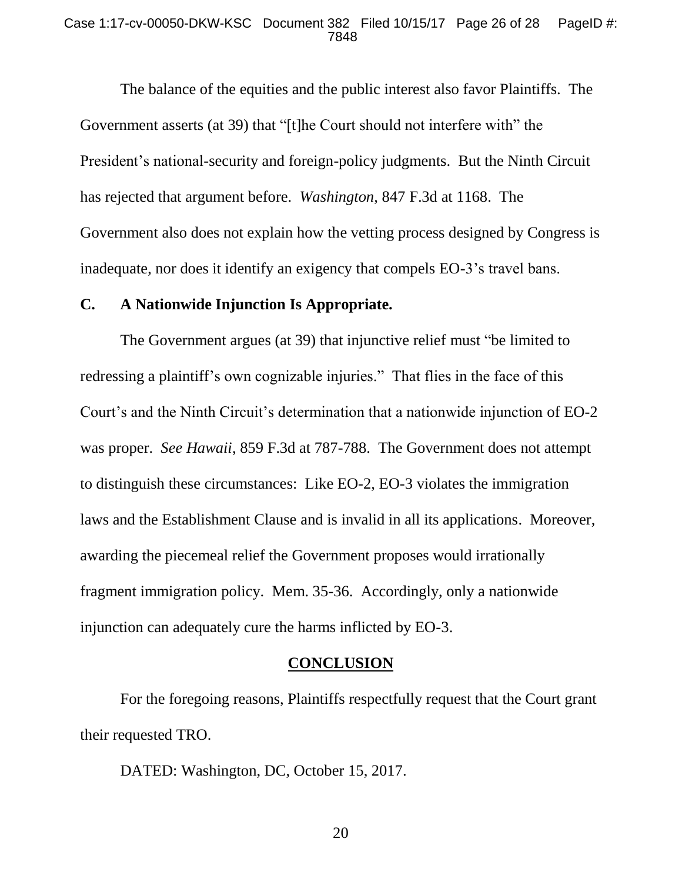#### Case 1:17-cv-00050-DKW-KSC Document 382 Filed 10/15/17 Page 26 of 28 PageID #: 7848

The balance of the equities and the public interest also favor Plaintiffs. The Government asserts (at 39) that "[t]he Court should not interfere with" the President's national-security and foreign-policy judgments. But the Ninth Circuit has rejected that argument before. *Washington*, 847 F.3d at 1168. The Government also does not explain how the vetting process designed by Congress is inadequate, nor does it identify an exigency that compels EO-3's travel bans.

#### **C. A Nationwide Injunction Is Appropriate.**

The Government argues (at 39) that injunctive relief must "be limited to redressing a plaintiff's own cognizable injuries." That flies in the face of this Court's and the Ninth Circuit's determination that a nationwide injunction of EO-2 was proper. *See Hawaii*, 859 F.3d at 787-788.The Government does not attempt to distinguish these circumstances: Like EO-2, EO-3 violates the immigration laws and the Establishment Clause and is invalid in all its applications. Moreover, awarding the piecemeal relief the Government proposes would irrationally fragment immigration policy. Mem. 35-36. Accordingly, only a nationwide injunction can adequately cure the harms inflicted by EO-3.

#### **CONCLUSION**

For the foregoing reasons, Plaintiffs respectfully request that the Court grant their requested TRO.

DATED: Washington, DC, October 15, 2017.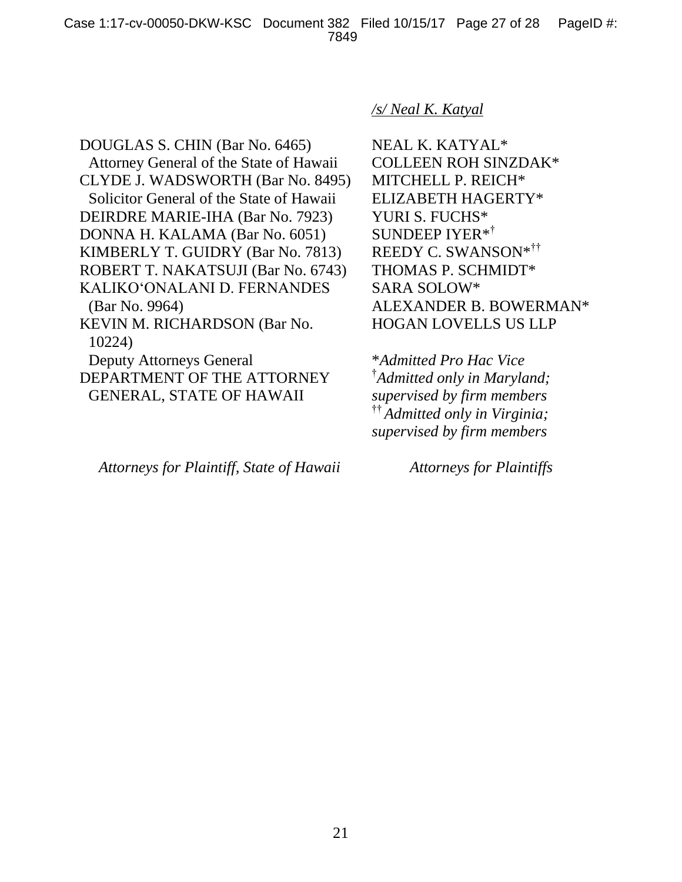DOUGLAS S. CHIN (Bar No. 6465) Attorney General of the State of Hawaii CLYDE J. WADSWORTH (Bar No. 8495) Solicitor General of the State of Hawaii DEIRDRE MARIE-IHA (Bar No. 7923) DONNA H. KALAMA (Bar No. 6051) KIMBERLY T. GUIDRY (Bar No. 7813) ROBERT T. NAKATSUJI (Bar No. 6743) KALIKO'ONALANI D. FERNANDES (Bar No. 9964) KEVIN M. RICHARDSON (Bar No. 10224) Deputy Attorneys General DEPARTMENT OF THE ATTORNEY GENERAL, STATE OF HAWAII

#### *Attorneys for Plaintiff, State of Hawaii Attorneys for Plaintiffs*

#### */s/ Neal K. Katyal*

NEAL K. KATYAL\* COLLEEN ROH SINZDAK\* MITCHELL P. REICH\* ELIZABETH HAGERTY\* YURI S. FUCHS\* SUNDEEP IYER\*† REEDY C. SWANSON\*†† THOMAS P. SCHMIDT\* SARA SOLOW\* ALEXANDER B. BOWERMAN\* HOGAN LOVELLS US LLP

\**Admitted Pro Hac Vice* † *Admitted only in Maryland; supervised by firm members*  †† *Admitted only in Virginia; supervised by firm members*